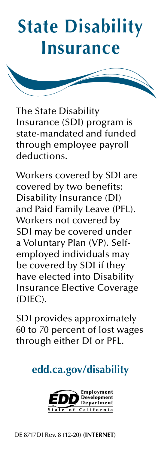# **State Disability Insurance**

The State Disability Insurance (SDI) program is state-mandated and funded through employee payroll deductions.

Workers covered by SDI are covered by two benefits: Disability Insurance (DI) and Paid Family Leave (PFL). Workers not covered by SDI may be covered under a Voluntary Plan (VP). Selfemployed individuals may be covered by SDI if they have elected into Disability Insurance Elective Coverage (DIEC).

SDI provides approximately 60 to 70 percent of lost wages through either DI or PFL.

**[edd.ca.gov/disability](http://edd.ca.gov/disability)**